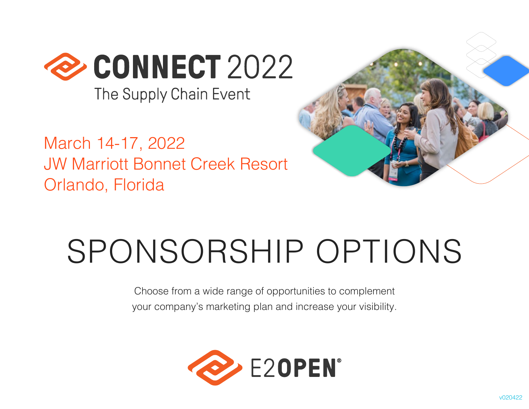

The Supply Chain Event

March 14-17, 2022 JW Marriott Bonnet Creek Resort Orlando, Florida



# SPONSORSHIP OPTIONS

Choose from a wide range of opportunities to complement your company's marketing plan and increase your visibility.

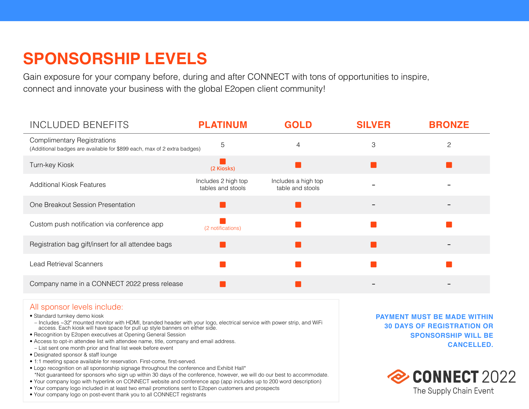## **SPONSORSHIP LEVELS**

Gain exposure for your company before, during and after CONNECT with tons of opportunities to inspire, connect and innovate your business with the global E2open client community!

| <b>INCLUDED BENEFITS</b>                                                                                      | <b>PLATINUM</b>                          | <b>GOLD</b>                             | <b>SILVER</b> | <b>BRONZE</b>  |
|---------------------------------------------------------------------------------------------------------------|------------------------------------------|-----------------------------------------|---------------|----------------|
| <b>Complimentary Registrations</b><br>(Additional badges are available for \$899 each, max of 2 extra badges) | 5                                        | 4                                       | 3             | $\overline{c}$ |
| Turn-key Kiosk                                                                                                | (2 Kiosks)                               |                                         |               |                |
| <b>Additional Kiosk Features</b>                                                                              | Includes 2 high top<br>tables and stools | Includes a high top<br>table and stools |               |                |
| One Breakout Session Presentation                                                                             |                                          |                                         |               |                |
| Custom push notification via conference app                                                                   | (2 notifications)                        |                                         |               |                |
| Registration bag gift/insert for all attendee bags                                                            |                                          |                                         |               |                |
| <b>Lead Retrieval Scanners</b>                                                                                |                                          |                                         |               |                |
| Company name in a CONNECT 2022 press release                                                                  |                                          |                                         |               |                |

### All sponsor levels include:

• Standard turnkey demo kiosk

– Includes ~32" mounted monitor with HDMI, branded header with your logo, electrical service with power strip, and WiFi access. Each kiosk will have space for pull up style banners on either side.

- Recognition by E2open executives at Opening General Session
- Access to opt-in attendee list with attendee name, title, company and email address. – List sent one month prior and final list week before event
- 
- Designated sponsor & staff lounge
- 1:1 meeting space available for reservation. First-come, first-served.
- Logo recognition on all sponsorship signage throughout the conference and Exhibit Hall\*
- \*Not guaranteed for sponsors who sign up within 30 days of the conference, however, we will do our best to accommodate.
- Your company logo with hyperlink on CONNECT website and conference app (app includes up to 200 word description)
- Your company logo included in at least two email promotions sent to E2open customers and prospects
- Your company logo on post-event thank you to all CONNECT registrants

**PAYMENT MUST BE MADE WITHIN 30 DAYS OF REGISTRATION OR SPONSORSHIP WILL BE CANCELLED.**

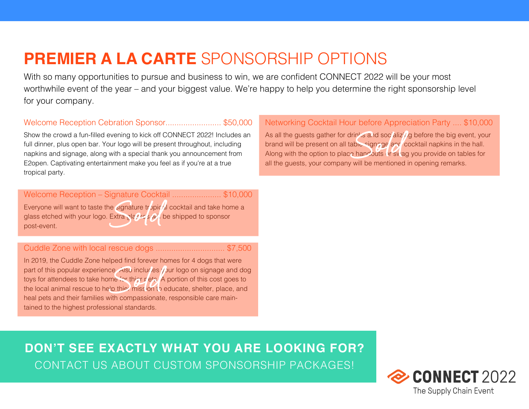## **PREMIER A LA CARTE** SPONSORSHIP OPTIONS

With so many opportunities to pursue and business to win, we are confident CONNECT 2022 will be your most worthwhile event of the year – and your biggest value. We're happy to help you determine the right sponsorship level for your company.

### Welcome Reception Cebration Sponsor......................... \$50,000

Show the crowd a fun-filled evening to kick off CONNECT 2022! Includes an full dinner, plus open bar. Your logo will be present throughout, including napkins and signage, along with a special thank you announcement from E2open. Captivating entertainment make you feel as if you're at a true tropical party.

Welcome Reception – Signature Cocktail ...................... \$10,000 Everyone will want to taste the signature tropic/d cocktail and take home a glass etched with your logo. Extra glasses will be shipped to sponsor post-event.

### Cuddle Zone with local rescue dogs ............................... \$7,500

In 2019, the Cuddle Zone helped find forever homes for 4 dogs that were part of this popular experience. Also includes your logo on signage and dog toys for attendees to take home for thier pets. A portion of this cost goes to the local animal rescue to help thie? mission to educate, shelter, place, and heal pets and their families with compassionate, responsible care maintained to the highest professional standards.

### Networking Cocktail Hour before Appreciation Party .... \$10,000

As all the guests gather for drinks and soc'alizing before the big event, your brand will be present on all table signage and cocktail napkins in the hall. Along with the option to place handouts or sylag you provide on tables for all the guests, your company will be mentioned in opening remarks.

**DON'T SEE EXACTLY WHAT YOU ARE LOOKING FOR?** CONTACT US ABOUT CUSTOM SPONSORSHIP PACKAGES!

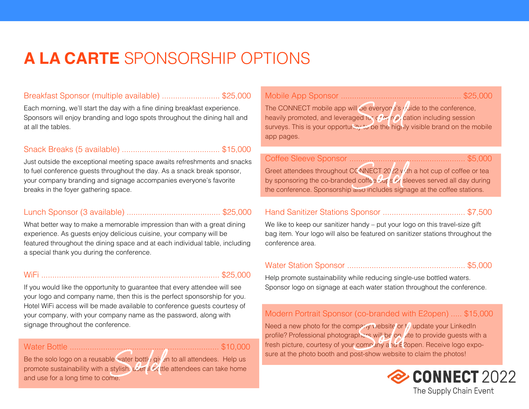## **A LA CARTE** SPONSORSHIP OPTIONS

### Breakfast Sponsor (multiple available) .......................... \$25,000

Each morning, we'll start the day with a fine dining breakfast experience. Sponsors will enjoy branding and logo spots throughout the dining hall and at all the tables.

### Snack Breaks (5 available) ............................................ \$15,000

Just outside the exceptional meeting space awaits refreshments and snacks to fuel conference guests throughout the day. As a snack break sponsor, your company branding and signage accompanies everyone's favorite breaks in the foyer gathering space.

### Lunch Sponsor (3 available) .......................................... \$25,000

What better way to make a memorable impression than with a great dining experience. As guests enjoy delicious cuisine, your company will be featured throughout the dining space and at each individual table, including a special thank you during the conference.

### WiFi ................................................................................ \$25,000

If you would like the opportunity to guarantee that every attendee will see your logo and company name, then this is the perfect sponsorship for you. Hotel WiFi access will be made available to conference guests courtesy of your company, with your company name as the password, along with signage throughout the conference.

### Water Bottle ................................................................... \$10,000

Be the solo logo on a reusable water bottly given to all attendees. Help us and use for a long time to come.

promote sustainability with a stylish, useful bottle attendees can take home

Mobile App Sponsor ...................................................... \$25,000

The CONNECT mobile app will be everyone's  $\mu$  dide to the conference, heavily promoted, and leveraged for  $c$   $\alpha$   $\mu$  cation including session surveys. This is your opportunity to be the highly visible brand on the mobile app pages.

| Greet attendees throughout CC NNECT 2022 v/th a hot cup of coffee or tea   |  |  |  |
|----------------------------------------------------------------------------|--|--|--|
| by sponsoring the co-branded coffee but s or sleeves served all day during |  |  |  |
| the conference. Sponsorship aiso includes signage at the coffee stations.  |  |  |  |

### Hand Sanitizer Stations Sponsor ..................................... \$7,500

We like to keep our sanitizer handy – put your logo on this travel-size gift bag item. Your logo will also be featured on sanitizer stations throughout the conference area.

### Water Station Sponsor ..................................................... \$5,000

Help promote sustainability while reducing single-use bottled waters. Sponsor logo on signage at each water station throughout the conference.

### Modern Portrait Sponsor (co-branded with E2open) ..... \$15,000

Need a new photo for the company website or  $t/$  update your LinkedIn profile? Professional photographers will be on site to provide guests with a fresh picture, courtesy of your company and E2open. Receive logo exposure at the photo booth and post-show website to claim the photos!

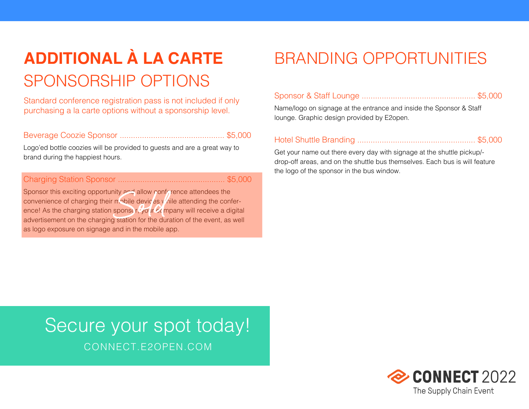## **ADDITIONAL À LA CARTE** SPONSORSHIP OPTIONS

Standard conference registration pass is not included if only purchasing a la carte options without a sponsorship level.

### Beverage Coozie Sponsor ............................................... \$5,000

Logo'ed bottle coozies will be provided to guests and are a great way to brand during the happiest hours.

### Charging Station Sponsor ................................................ \$5,000

Sponsor this exciting opportunity and allow conference attendees the convenience of charging their mobile devices yoile attending the conference! As the charging station sponse  $r$ , your company will receive a digital advertisement on the charging station for the duration of the event, as well as logo exposure on signage and in the mobile app.

## BRANDING OPPORTUNITIES

|--|--|--|--|--|--|

Name/logo on signage at the entrance and inside the Sponsor & Staff lounge. Graphic design provided by E2open.

### Hotel Shuttle Branding ..................................................... \$5,000

Get your name out there every day with signage at the shuttle pickup/ drop-off areas, and on the shuttle bus themselves. Each bus is will feature the logo of the sponsor in the bus window.

## Secure your spot today! CONNECT.E2OPEN.COM